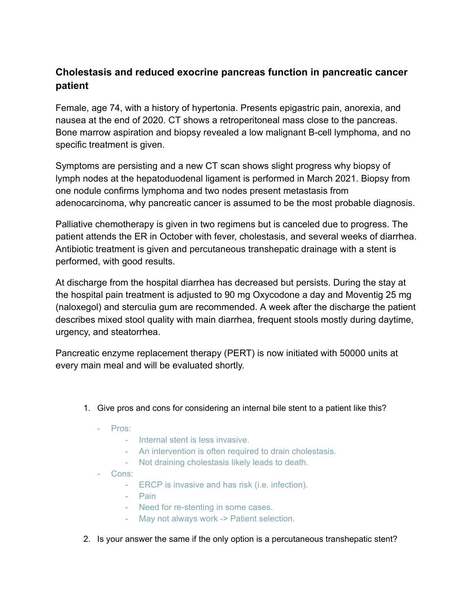## **Cholestasis and reduced exocrine pancreas function in pancreatic cancer patient**

Female, age 74, with a history of hypertonia. Presents epigastric pain, anorexia, and nausea at the end of 2020. CT shows a retroperitoneal mass close to the pancreas. Bone marrow aspiration and biopsy revealed a low malignant B-cell lymphoma, and no specific treatment is given.

Symptoms are persisting and a new CT scan shows slight progress why biopsy of lymph nodes at the hepatoduodenal ligament is performed in March 2021. Biopsy from one nodule confirms lymphoma and two nodes present metastasis from adenocarcinoma, why pancreatic cancer is assumed to be the most probable diagnosis.

Palliative chemotherapy is given in two regimens but is canceled due to progress. The patient attends the ER in October with fever, cholestasis, and several weeks of diarrhea. Antibiotic treatment is given and percutaneous transhepatic drainage with a stent is performed, with good results.

At discharge from the hospital diarrhea has decreased but persists. During the stay at the hospital pain treatment is adjusted to 90 mg Oxycodone a day and Moventig 25 mg (naloxegol) and sterculia gum are recommended. A week after the discharge the patient describes mixed stool quality with main diarrhea, frequent stools mostly during daytime, urgency, and steatorrhea.

Pancreatic enzyme replacement therapy (PERT) is now initiated with 50000 units at every main meal and will be evaluated shortly.

- 1. Give pros and cons for considering an internal bile stent to a patient like this?
	- Pros:
		- Internal stent is less invasive.
		- An intervention is often required to drain cholestasis.
		- Not draining cholestasis likely leads to death.
	- Cons:
		- ERCP is invasive and has risk (i.e. infection).
		- Pain
		- Need for re-stenting in some cases.
		- May not always work -> Patient selection.
- 2. Is your answer the same if the only option is a percutaneous transhepatic stent?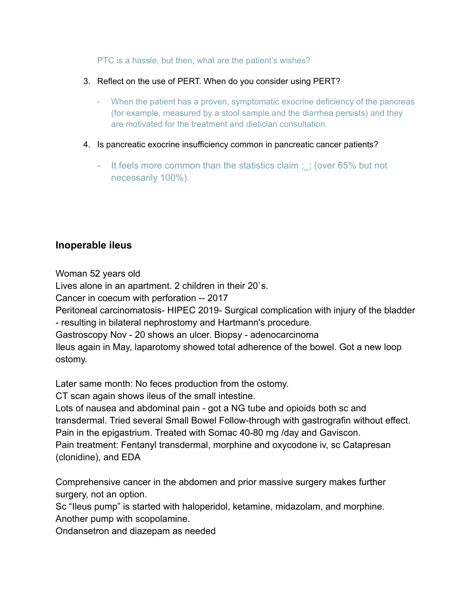PTC is a hassle, but then, what are the patient's wishes?

- 3. Reflect on the use of PERT. When do you consider using PERT?
	- When the patient has a proven, symptomatic exocrine deficiency of the pancreas (for example, measured by a stool sample and the diarrhea persists) and they are motivated for the treatment and dietician consultation.
- 4. Is pancreatic exocrine insufficiency common in pancreatic cancer patients?
	- It feels more common than the statistics claim; ; (over 65% but not necessarily 100%).

## **Inoperable ileus**

Woman 52 years old

Lives alone in an apartment. 2 children in their 20`s.

Cancer in coecum with perforation -- 2017

Peritoneal carcinomatosis- HIPEC 2019- Surgical complication with injury of the bladder

- resulting in bilateral nephrostomy and Hartmann's procedure.

Gastroscopy Nov - 20 shows an ulcer. Biopsy - adenocarcinoma

Ileus again in May, laparotomy showed total adherence of the bowel. Got a new loop ostomy.

Later same month: No feces production from the ostomy.

CT scan again shows ileus of the small intestine.

Lots of nausea and abdominal pain - got a NG tube and opioids both sc and transdermal. Tried several Small Bowel Follow-through with gastrografin without effect. Pain in the epigastrium. Treated with Somac 40-80 mg /day and Gaviscon.

Pain treatment: Fentanyl transdermal, morphine and oxycodone iv, sc Catapresan (clonidine), and EDA

Comprehensive cancer in the abdomen and prior massive surgery makes further surgery, not an option.

Sc "Ileus pump" is started with haloperidol, ketamine, midazolam, and morphine. Another pump with scopolamine.

Ondansetron and diazepam as needed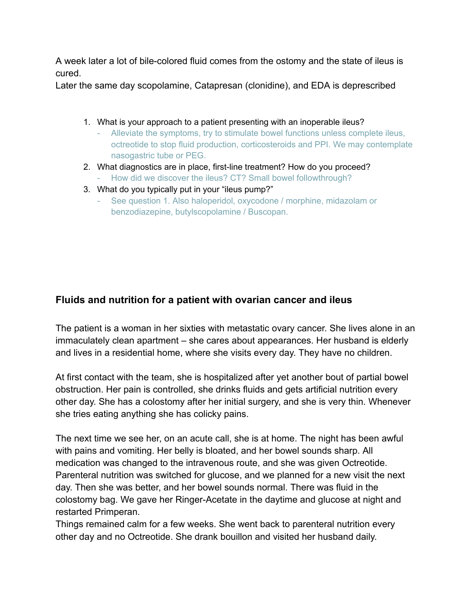A week later a lot of bile-colored fluid comes from the ostomy and the state of ileus is cured.

Later the same day scopolamine, Catapresan (clonidine), and EDA is deprescribed

- 1. What is your approach to a patient presenting with an inoperable ileus?
	- Alleviate the symptoms, try to stimulate bowel functions unless complete ileus, octreotide to stop fluid production, corticosteroids and PPI. We may contemplate nasogastric tube or PEG.
- 2. What diagnostics are in place, first-line treatment? How do you proceed?
	- How did we discover the ileus? CT? Small bowel followthrough?
- 3. What do you typically put in your "ileus pump?"
	- See question 1. Also haloperidol, oxycodone / morphine, midazolam or benzodiazepine, butylscopolamine / Buscopan.

## **Fluids and nutrition for a patient with ovarian cancer and ileus**

The patient is a woman in her sixties with metastatic ovary cancer. She lives alone in an immaculately clean apartment – she cares about appearances. Her husband is elderly and lives in a residential home, where she visits every day. They have no children.

At first contact with the team, she is hospitalized after yet another bout of partial bowel obstruction. Her pain is controlled, she drinks fluids and gets artificial nutrition every other day. She has a colostomy after her initial surgery, and she is very thin. Whenever she tries eating anything she has colicky pains.

The next time we see her, on an acute call, she is at home. The night has been awful with pains and vomiting. Her belly is bloated, and her bowel sounds sharp. All medication was changed to the intravenous route, and she was given Octreotide. Parenteral nutrition was switched for glucose, and we planned for a new visit the next day. Then she was better, and her bowel sounds normal. There was fluid in the colostomy bag. We gave her Ringer-Acetate in the daytime and glucose at night and restarted Primperan.

Things remained calm for a few weeks. She went back to parenteral nutrition every other day and no Octreotide. She drank bouillon and visited her husband daily.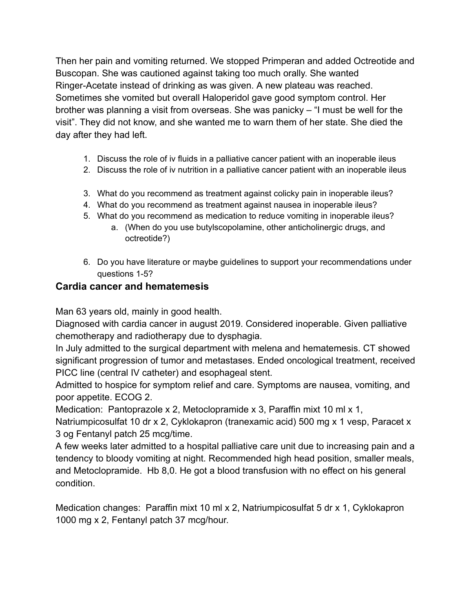Then her pain and vomiting returned. We stopped Primperan and added Octreotide and Buscopan. She was cautioned against taking too much orally. She wanted Ringer-Acetate instead of drinking as was given. A new plateau was reached. Sometimes she vomited but overall Haloperidol gave good symptom control. Her brother was planning a visit from overseas. She was panicky – "I must be well for the visit". They did not know, and she wanted me to warn them of her state. She died the day after they had left.

- 1. Discuss the role of iv fluids in a palliative cancer patient with an inoperable ileus
- 2. Discuss the role of iv nutrition in a palliative cancer patient with an inoperable ileus
- 3. What do you recommend as treatment against colicky pain in inoperable ileus?
- 4. What do you recommend as treatment against nausea in inoperable ileus?
- 5. What do you recommend as medication to reduce vomiting in inoperable ileus?
	- a. (When do you use butylscopolamine, other anticholinergic drugs, and octreotide?)
- 6. Do you have literature or maybe guidelines to support your recommendations under questions 1-5?

## **Cardia cancer and hematemesis**

Man 63 years old, mainly in good health.

Diagnosed with cardia cancer in august 2019. Considered inoperable. Given palliative chemotherapy and radiotherapy due to dysphagia.

In July admitted to the surgical department with melena and hematemesis. CT showed significant progression of tumor and metastases. Ended oncological treatment, received PICC line (central IV catheter) and esophageal stent.

Admitted to hospice for symptom relief and care. Symptoms are nausea, vomiting, and poor appetite. ECOG 2.

Medication: Pantoprazole x 2, Metoclopramide x 3, Paraffin mixt 10 ml x 1,

Natriumpicosulfat 10 dr x 2, Cyklokapron (tranexamic acid) 500 mg x 1 vesp, Paracet x 3 og Fentanyl patch 25 mcg/time.

A few weeks later admitted to a hospital palliative care unit due to increasing pain and a tendency to bloody vomiting at night. Recommended high head position, smaller meals, and Metoclopramide. Hb 8,0. He got a blood transfusion with no effect on his general condition.

Medication changes: Paraffin mixt 10 ml x 2, Natriumpicosulfat 5 dr x 1, Cyklokapron 1000 mg x 2, Fentanyl patch 37 mcg/hour.